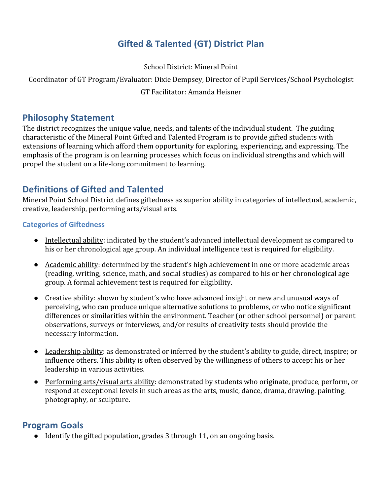# **Gifted & Talented (GT) District Plan**

School District: Mineral Point

Coordinator of GT Program/Evaluator: Dixie Dempsey, Director of Pupil Services/School Psychologist

### GT Facilitator: Amanda Heisner

### **Philosophy Statement**

The district recognizes the unique value, needs, and talents of the individual student. The guiding characteristic of the Mineral Point Gifted and Talented Program is to provide gifted students with extensions of learning which afford them opportunity for exploring, experiencing, and expressing. The emphasis of the program is on learning processes which focus on individual strengths and which will propel the student on a life-long commitment to learning.

# **Definitions of Gifted and Talented**

Mineral Point School District defines giftedness as superior ability in categories of intellectual, academic, creative, leadership, performing arts/visual arts.

#### **Categories of Giftedness**

- Intellectual ability: indicated by the student's advanced intellectual development as compared to his or her chronological age group. An individual intelligence test is required for eligibility.
- Academic ability: determined by the student's high achievement in one or more academic areas (reading, writing, science, math, and social studies) as compared to his or her chronological age group. A formal achievement test is required for eligibility.
- Creative ability: shown by student's who have advanced insight or new and unusual ways of perceiving, who can produce unique alternative solutions to problems, or who notice significant differences or similarities within the environment. Teacher (or other school personnel) or parent observations, surveys or interviews, and/or results of creativity tests should provide the necessary information.
- Leadership ability: as demonstrated or inferred by the student's ability to guide, direct, inspire; or influence others. This ability is often observed by the willingness of others to accept his or her leadership in various activities.
- Performing arts/visual arts ability: demonstrated by students who originate, produce, perform, or respond at exceptional levels in such areas as the arts, music, dance, drama, drawing, painting, photography, or sculpture.

## **Program Goals**

● Identify the gifted population, grades 3 through 11, on an ongoing basis.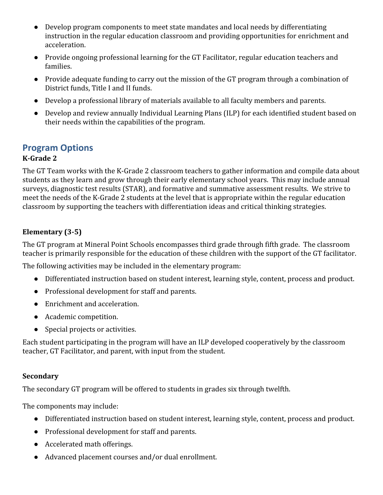- Develop program components to meet state mandates and local needs by differentiating instruction in the regular education classroom and providing opportunities for enrichment and acceleration.
- Provide ongoing professional learning for the GT Facilitator, regular education teachers and families.
- Provide adequate funding to carry out the mission of the GT program through a combination of District funds, Title I and II funds.
- Develop a professional library of materials available to all faculty members and parents.
- Develop and review annually Individual Learning Plans (ILP) for each identified student based on their needs within the capabilities of the program.

## **Program Options**

### **K-Grade 2**

The GT Team works with the K-Grade 2 classroom teachers to gather information and compile data about students as they learn and grow through their early elementary school years. This may include annual surveys, diagnostic test results (STAR), and formative and summative assessment results. We strive to meet the needs of the K-Grade 2 students at the level that is appropriate within the regular education classroom by supporting the teachers with differentiation ideas and critical thinking strategies.

### **Elementary (3-5)**

The GT program at Mineral Point Schools encompasses third grade through fifth grade. The classroom teacher is primarily responsible for the education of these children with the support of the GT facilitator.

The following activities may be included in the elementary program:

- Differentiated instruction based on student interest, learning style, content, process and product.
- Professional development for staff and parents.
- Enrichment and acceleration.
- Academic competition.
- Special projects or activities.

Each student participating in the program will have an ILP developed cooperatively by the classroom teacher, GT Facilitator, and parent, with input from the student.

#### **Secondary**

The secondary GT program will be offered to students in grades six through twelfth.

The components may include:

- Differentiated instruction based on student interest, learning style, content, process and product.
- Professional development for staff and parents.
- Accelerated math offerings.
- Advanced placement courses and/or dual enrollment.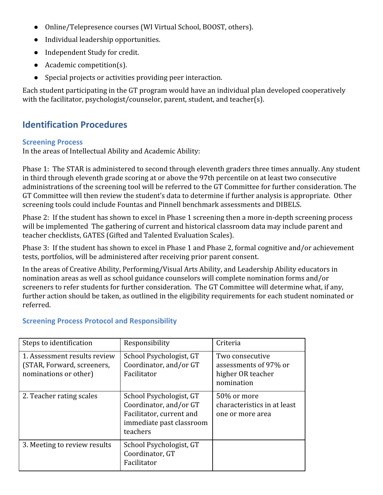- Online/Telepresence courses (WI Virtual School, BOOST, others).
- Individual leadership opportunities.
- Independent Study for credit.
- Academic competition(s).
- Special projects or activities providing peer interaction.

Each student participating in the GT program would have an individual plan developed cooperatively with the facilitator, psychologist/counselor, parent, student, and teacher(s).

# **Identification Procedures**

#### **Screening Process**

In the areas of Intellectual Ability and Academic Ability:

Phase 1: The STAR is administered to second through eleventh graders three times annually. Any student in third through eleventh grade scoring at or above the 97th percentile on at least two consecutive administrations of the screening tool will be referred to the GT Committee for further consideration. The GT Committee will then review the student's data to determine if further analysis is appropriate. Other screening tools could include Fountas and Pinnell benchmark assessments and DIBELS.

Phase 2: If the student has shown to excel in Phase 1 screening then a more in-depth screening process will be implemented The gathering of current and historical classroom data may include parent and teacher checklists, GATES (Gifted and Talented Evaluation Scales).

Phase 3: If the student has shown to excel in Phase 1 and Phase 2, formal cognitive and/or achievement tests, portfolios, will be administered after receiving prior parent consent.

In the areas of Creative Ability, Performing/Visual Arts Ability, and Leadership Ability educators in nomination areas as well as school guidance counselors will complete nomination forms and/or screeners to refer students for further consideration. The GT Committee will determine what, if any, further action should be taken, as outlined in the eligibility requirements for each student nominated or referred.

| Steps to identification                                                             | Responsibility                                                                                                        | Criteria                                                                    |
|-------------------------------------------------------------------------------------|-----------------------------------------------------------------------------------------------------------------------|-----------------------------------------------------------------------------|
| 1. Assessment results review<br>(STAR, Forward, screeners,<br>nominations or other) | School Psychologist, GT<br>Coordinator, and/or GT<br>Facilitator                                                      | Two consecutive<br>assessments of 97% or<br>higher OR teacher<br>nomination |
| 2. Teacher rating scales                                                            | School Psychologist, GT<br>Coordinator, and/or GT<br>Facilitator, current and<br>immediate past classroom<br>teachers | 50% or more<br>characteristics in at least<br>one or more area              |
| 3. Meeting to review results                                                        | School Psychologist, GT<br>Coordinator, GT<br>Facilitator                                                             |                                                                             |

#### **Screening Process Protocol and Responsibility**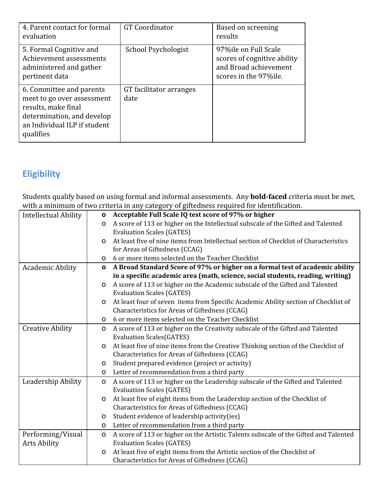| 4. Parent contact for formal<br>evaluation                                                                                                               | <b>GT</b> Coordinator           | Based on screening<br>results                                                                          |
|----------------------------------------------------------------------------------------------------------------------------------------------------------|---------------------------------|--------------------------------------------------------------------------------------------------------|
| 5. Formal Cognitive and<br>Achievement assessments<br>administered and gather<br>pertinent data                                                          | School Psychologist             | 97%ile on Full Scale<br>scores of cognitive ability<br>and Broad achievement<br>scores in the 97% ile. |
| 6. Committee and parents<br>meet to go over assessment<br>results, make final<br>determination, and develop<br>an Individual ILP if student<br>qualifies | GT facilitator arranges<br>date |                                                                                                        |

# **Eligibility**

Students qualify based on using formal and informal assessments. Any **bold-faced** criteria must be met, with a minimum of two criteria in any category of giftedness required for identification.

| <b>Intellectual Ability</b> | O                                                             | Acceptable Full Scale IQ test score of 97% or higher                                  |  |  |
|-----------------------------|---------------------------------------------------------------|---------------------------------------------------------------------------------------|--|--|
|                             | $\Omega$                                                      | A score of 113 or higher on the Intellectual subscale of the Gifted and Talented      |  |  |
|                             | <b>Evaluation Scales (GATES)</b>                              |                                                                                       |  |  |
|                             | <sup>o</sup>                                                  | At least five of nine items from Intellectual section of Checklist of Characteristics |  |  |
|                             | for Areas of Giftedness (CCAG)                                |                                                                                       |  |  |
|                             | 6 or more items selected on the Teacher Checklist<br>$\Omega$ |                                                                                       |  |  |
| <b>Academic Ability</b>     | $\mathbf{o}$                                                  | A Broad Standard Score of 97% or higher on a formal test of academic ability          |  |  |
|                             |                                                               | in a specific academic area (math, science, social students, reading, writing)        |  |  |
|                             | $\mathsf{o}$                                                  | A score of 113 or higher on the Academic subscale of the Gifted and Talented          |  |  |
|                             | <b>Evaluation Scales (GATES)</b>                              |                                                                                       |  |  |
|                             | 0                                                             | At least four of seven items from Specific Academic Ability section of Checklist of   |  |  |
|                             | Characteristics for Areas of Giftedness (CCAG)                |                                                                                       |  |  |
|                             | 6 or more items selected on the Teacher Checklist<br>$\Omega$ |                                                                                       |  |  |
| <b>Creative Ability</b>     | O                                                             | A score of 113 or higher on the Creativity subscale of the Gifted and Talented        |  |  |
|                             | <b>Evaluation Scales (GATES)</b>                              |                                                                                       |  |  |
|                             | O                                                             | At least five of nine items from the Creative Thinking section of the Checklist of    |  |  |
|                             | Characteristics for Areas of Giftedness (CCAG)                |                                                                                       |  |  |
|                             | Student prepared evidence (project or activity)<br>O          |                                                                                       |  |  |
|                             | Letter of recommendation from a third party<br>O              |                                                                                       |  |  |
| Leadership Ability          | $\mathsf{o}$                                                  | A score of 113 or higher on the Leadership subscale of the Gifted and Talented        |  |  |
|                             | <b>Evaluation Scales (GATES)</b>                              |                                                                                       |  |  |
|                             | O                                                             | At least five of eight items from the Leadership section of the Checklist of          |  |  |
|                             | Characteristics for Areas of Giftedness (CCAG)                |                                                                                       |  |  |
|                             | Student evidence of leadership activity(ies)<br>0             |                                                                                       |  |  |
|                             | Letter of recommendation from a third party<br>$\Omega$       |                                                                                       |  |  |
| Performing/Visual           | O                                                             | A score of 113 or higher on the Artistic Talents subscale of the Gifted and Talented  |  |  |
| <b>Arts Ability</b>         | <b>Evaluation Scales (GATES)</b>                              |                                                                                       |  |  |
|                             | $\circ$                                                       | At least five of eight items from the Artistic section of the Checklist of            |  |  |
|                             | Characteristics for Areas of Giftedness (CCAG)                |                                                                                       |  |  |